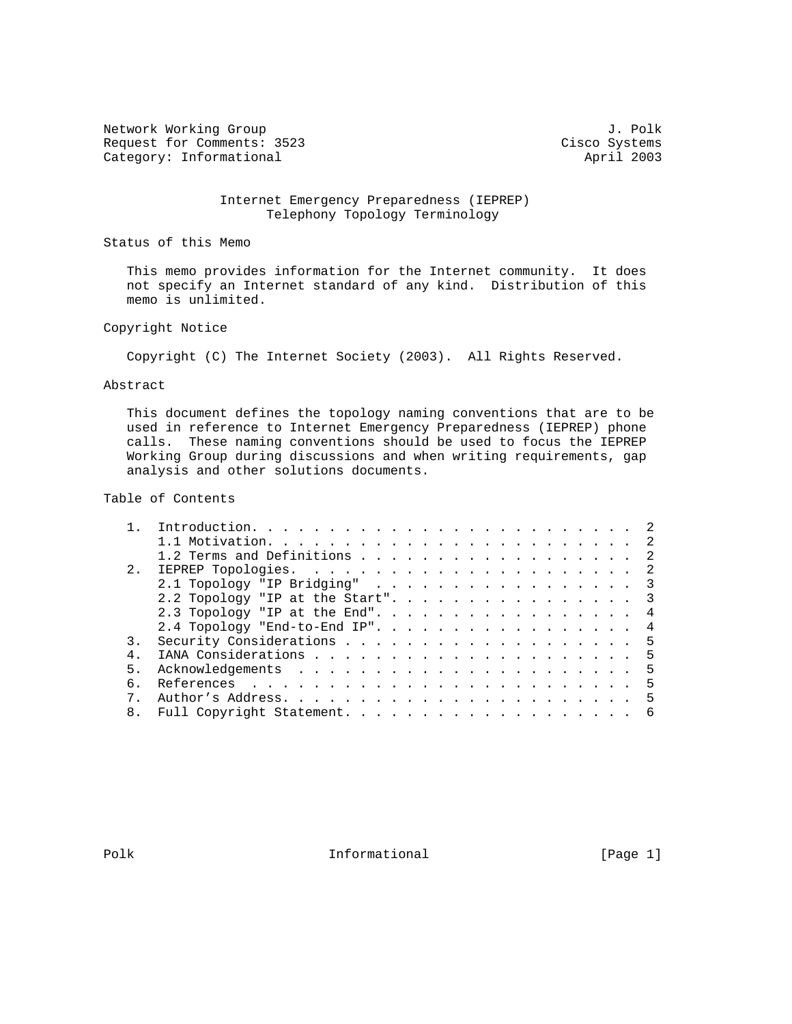Network Working Group 3. 2018 Request for Comments: 3523 Cisco Systems<br>
Category: Informational april 2003 Category: Informational

## Internet Emergency Preparedness (IEPREP) Telephony Topology Terminology

Status of this Memo

 This memo provides information for the Internet community. It does not specify an Internet standard of any kind. Distribution of this memo is unlimited.

## Copyright Notice

Copyright (C) The Internet Society (2003). All Rights Reserved.

### Abstract

 This document defines the topology naming conventions that are to be used in reference to Internet Emergency Preparedness (IEPREP) phone calls. These naming conventions should be used to focus the IEPREP Working Group during discussions and when writing requirements, gap analysis and other solutions documents.

# Table of Contents

| 1.2 Terms and Definitions 2       |  |
|-----------------------------------|--|
|                                   |  |
| 2.1 Topology "IP Bridging" 3      |  |
| 2.2 Topology "IP at the Start". 3 |  |
| 2.3 Topology "IP at the End". 4   |  |
| 2.4 Topology "End-to-End IP". 4   |  |
|                                   |  |
|                                   |  |
|                                   |  |
|                                   |  |
|                                   |  |
|                                   |  |
|                                   |  |

Polk **Informational** Informational [Page 1]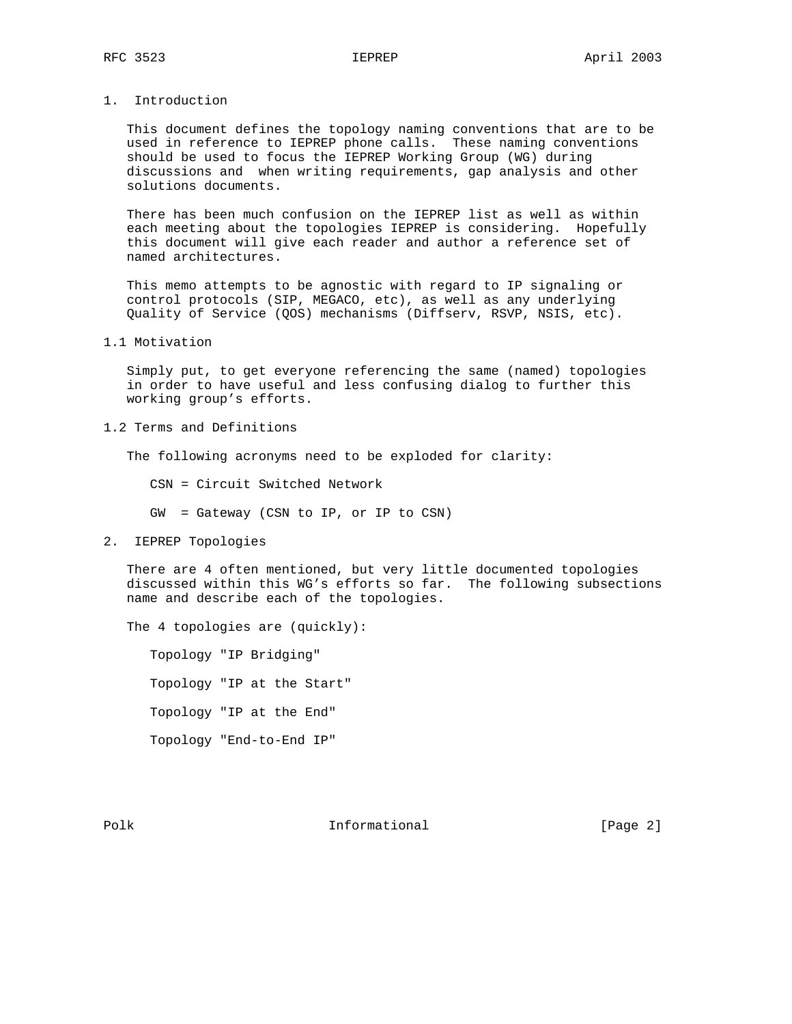# 1. Introduction

 This document defines the topology naming conventions that are to be used in reference to IEPREP phone calls. These naming conventions should be used to focus the IEPREP Working Group (WG) during discussions and when writing requirements, gap analysis and other solutions documents.

 There has been much confusion on the IEPREP list as well as within each meeting about the topologies IEPREP is considering. Hopefully this document will give each reader and author a reference set of named architectures.

 This memo attempts to be agnostic with regard to IP signaling or control protocols (SIP, MEGACO, etc), as well as any underlying Quality of Service (QOS) mechanisms (Diffserv, RSVP, NSIS, etc).

1.1 Motivation

 Simply put, to get everyone referencing the same (named) topologies in order to have useful and less confusing dialog to further this working group's efforts.

1.2 Terms and Definitions

The following acronyms need to be exploded for clarity:

CSN = Circuit Switched Network

GW = Gateway (CSN to IP, or IP to CSN)

2. IEPREP Topologies

 There are 4 often mentioned, but very little documented topologies discussed within this WG's efforts so far. The following subsections name and describe each of the topologies.

The 4 topologies are (quickly):

 Topology "IP Bridging" Topology "IP at the Start" Topology "IP at the End" Topology "End-to-End IP"

Polk **Informational** [Page 2]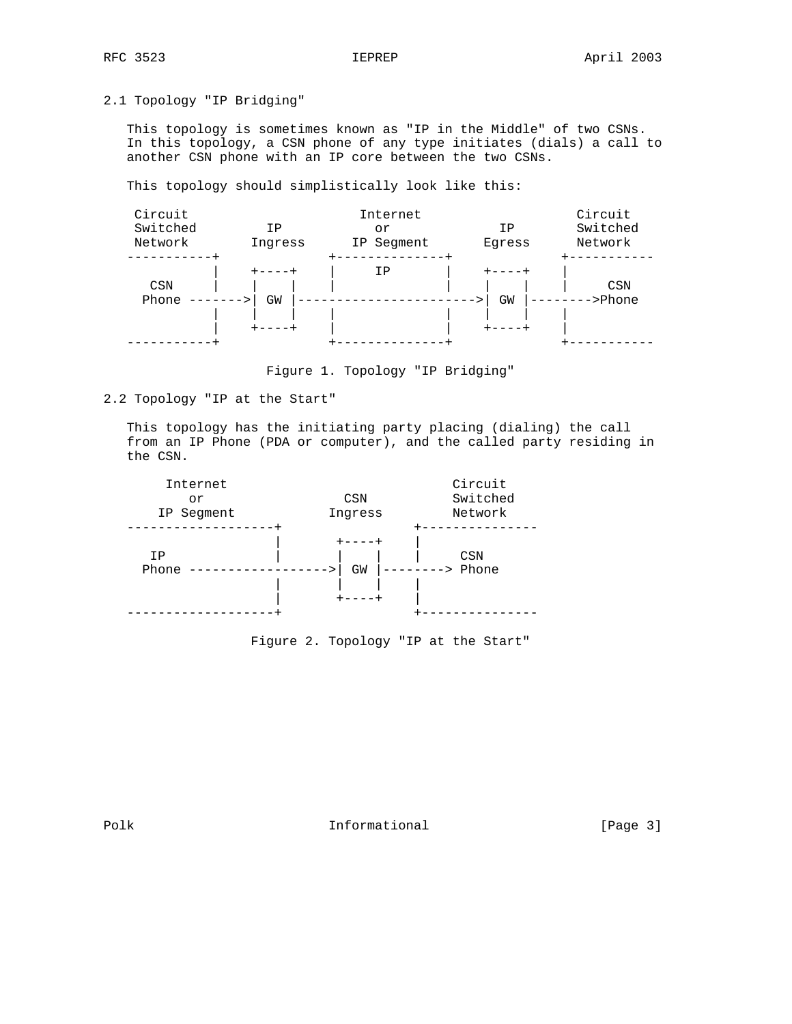2.1 Topology "IP Bridging"

 This topology is sometimes known as "IP in the Middle" of two CSNs. In this topology, a CSN phone of any type initiates (dials) a call to another CSN phone with an IP core between the two CSNs.

This topology should simplistically look like this:



Figure 1. Topology "IP Bridging"

2.2 Topology "IP at the Start"

 This topology has the initiating party placing (dialing) the call from an IP Phone (PDA or computer), and the called party residing in the CSN.



Figure 2. Topology "IP at the Start"

Polk **Informational Informational** [Page 3]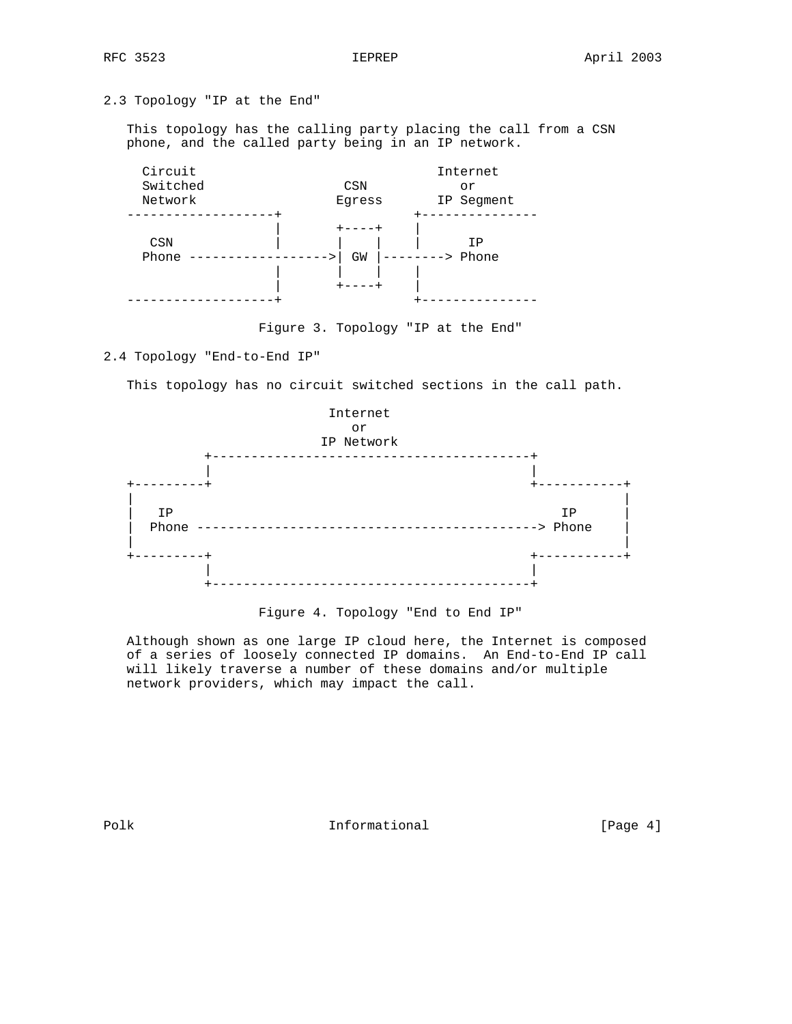# 2.3 Topology "IP at the End"

 This topology has the calling party placing the call from a CSN phone, and the called party being in an IP network.



Figure 3. Topology "IP at the End"

2.4 Topology "End-to-End IP"

This topology has no circuit switched sections in the call path.



## Figure 4. Topology "End to End IP"

 Although shown as one large IP cloud here, the Internet is composed of a series of loosely connected IP domains. An End-to-End IP call will likely traverse a number of these domains and/or multiple network providers, which may impact the call.

Polk **Informational Informational** [Page 4]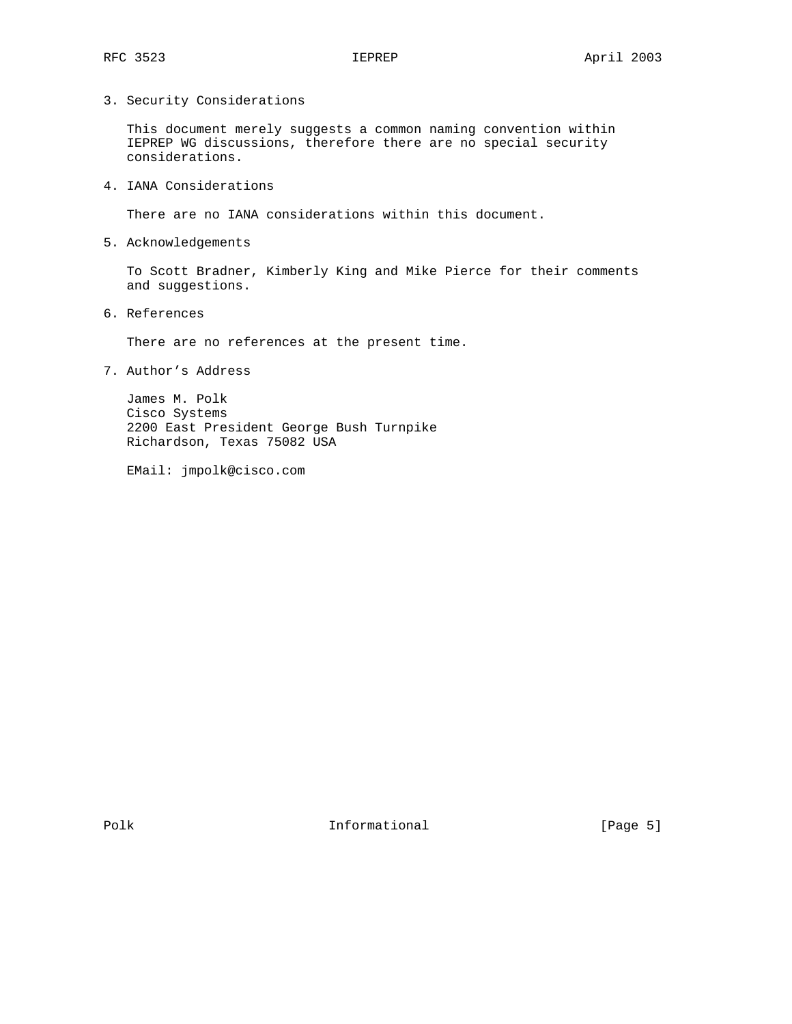3. Security Considerations

 This document merely suggests a common naming convention within IEPREP WG discussions, therefore there are no special security considerations.

4. IANA Considerations

There are no IANA considerations within this document.

5. Acknowledgements

 To Scott Bradner, Kimberly King and Mike Pierce for their comments and suggestions.

6. References

There are no references at the present time.

7. Author's Address

 James M. Polk Cisco Systems 2200 East President George Bush Turnpike Richardson, Texas 75082 USA

EMail: jmpolk@cisco.com

Polk **Informational** [Page 5]